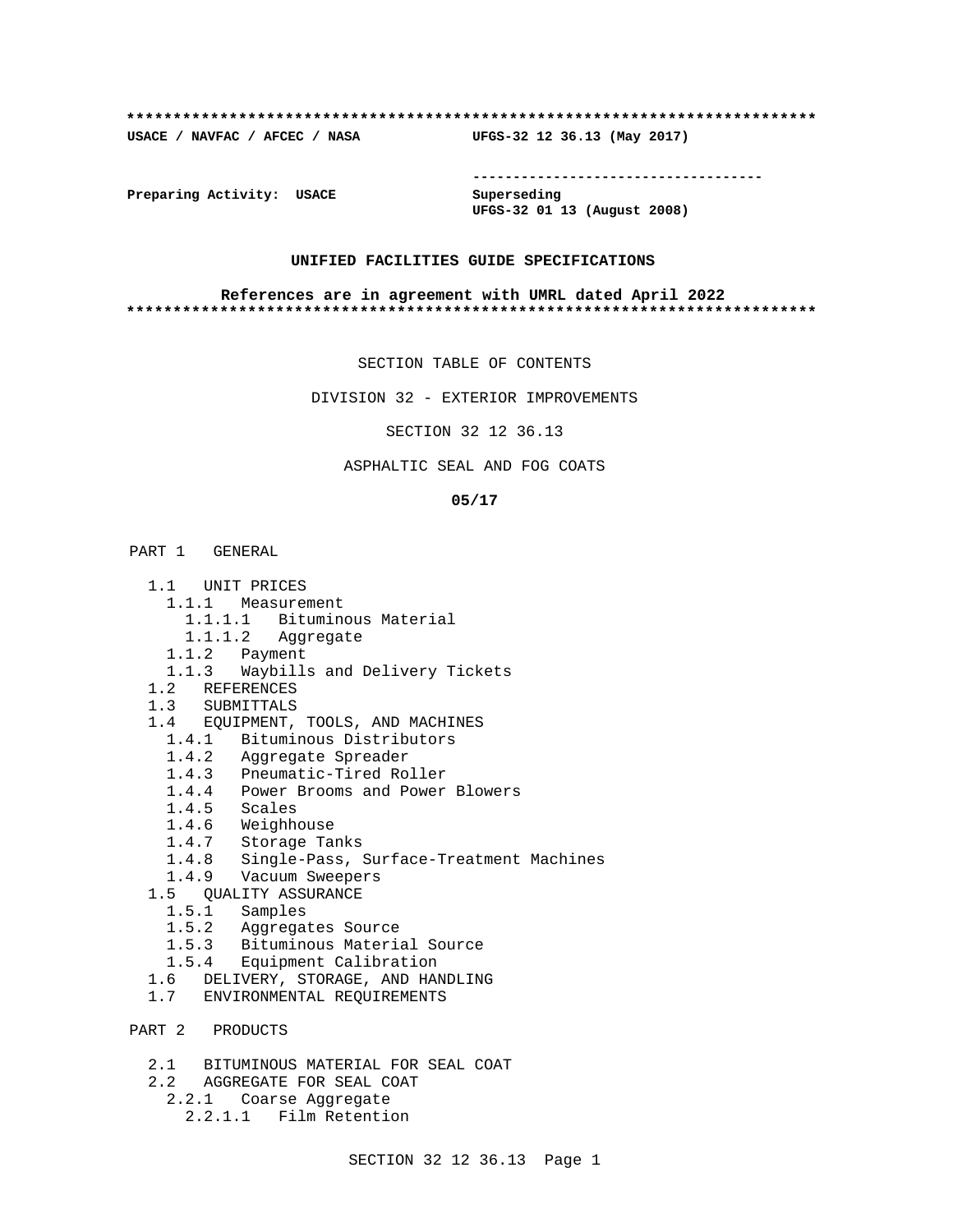## **\*\*\*\*\*\*\*\*\*\*\*\*\*\*\*\*\*\*\*\*\*\*\*\*\*\*\*\*\*\*\*\*\*\*\*\*\*\*\*\*\*\*\*\*\*\*\*\*\*\*\*\*\*\*\*\*\*\*\*\*\*\*\*\*\*\*\*\*\*\*\*\*\*\***

**USACE / NAVFAC / AFCEC / NASA UFGS-32 12 36.13 (May 2017)**

**------------------------------------**

**Preparing Activity: USACE Superseding**

**UFGS-32 01 13 (August 2008)**

## **UNIFIED FACILITIES GUIDE SPECIFICATIONS**

## **References are in agreement with UMRL dated April 2022 \*\*\*\*\*\*\*\*\*\*\*\*\*\*\*\*\*\*\*\*\*\*\*\*\*\*\*\*\*\*\*\*\*\*\*\*\*\*\*\*\*\*\*\*\*\*\*\*\*\*\*\*\*\*\*\*\*\*\*\*\*\*\*\*\*\*\*\*\*\*\*\*\*\***

SECTION TABLE OF CONTENTS

DIVISION 32 - EXTERIOR IMPROVEMENTS

SECTION 32 12 36.13

## ASPHALTIC SEAL AND FOG COATS

## **05/17**

# PART 1 GENERAL

- 1.1 UNIT PRICES
	- 1.1.1 Measurement
		- 1.1.1.1 Bituminous Material
		- 1.1.1.2 Aggregate
	- 1.1.2 Payment
- 1.1.3 Waybills and Delivery Tickets
- 1.2 REFERENCES
- 1.3 SUBMITTALS
- 1.4 EQUIPMENT, TOOLS, AND MACHINES
	- 1.4.1 Bituminous Distributors
	- 1.4.2 Aggregate Spreader
	- 1.4.3 Pneumatic-Tired Roller
	- 1.4.4 Power Brooms and Power Blowers
	- 1.4.5 Scales
	- 1.4.6 Weighhouse
	- 1.4.7 Storage Tanks
	- 1.4.8 Single-Pass, Surface-Treatment Machines
- 1.4.9 Vacuum Sweepers
- 1.5 QUALITY ASSURANCE
	- 1.5.1 Samples
	- 1.5.2 Aggregates Source
	- 1.5.3 Bituminous Material Source
	- 1.5.4 Equipment Calibration
- 1.6 DELIVERY, STORAGE, AND HANDLING
- 1.7 ENVIRONMENTAL REQUIREMENTS
- PART 2 PRODUCTS
	- 2.1 BITUMINOUS MATERIAL FOR SEAL COAT
	- 2.2 AGGREGATE FOR SEAL COAT
	- 2.2.1 Coarse Aggregate
		- 2.2.1.1 Film Retention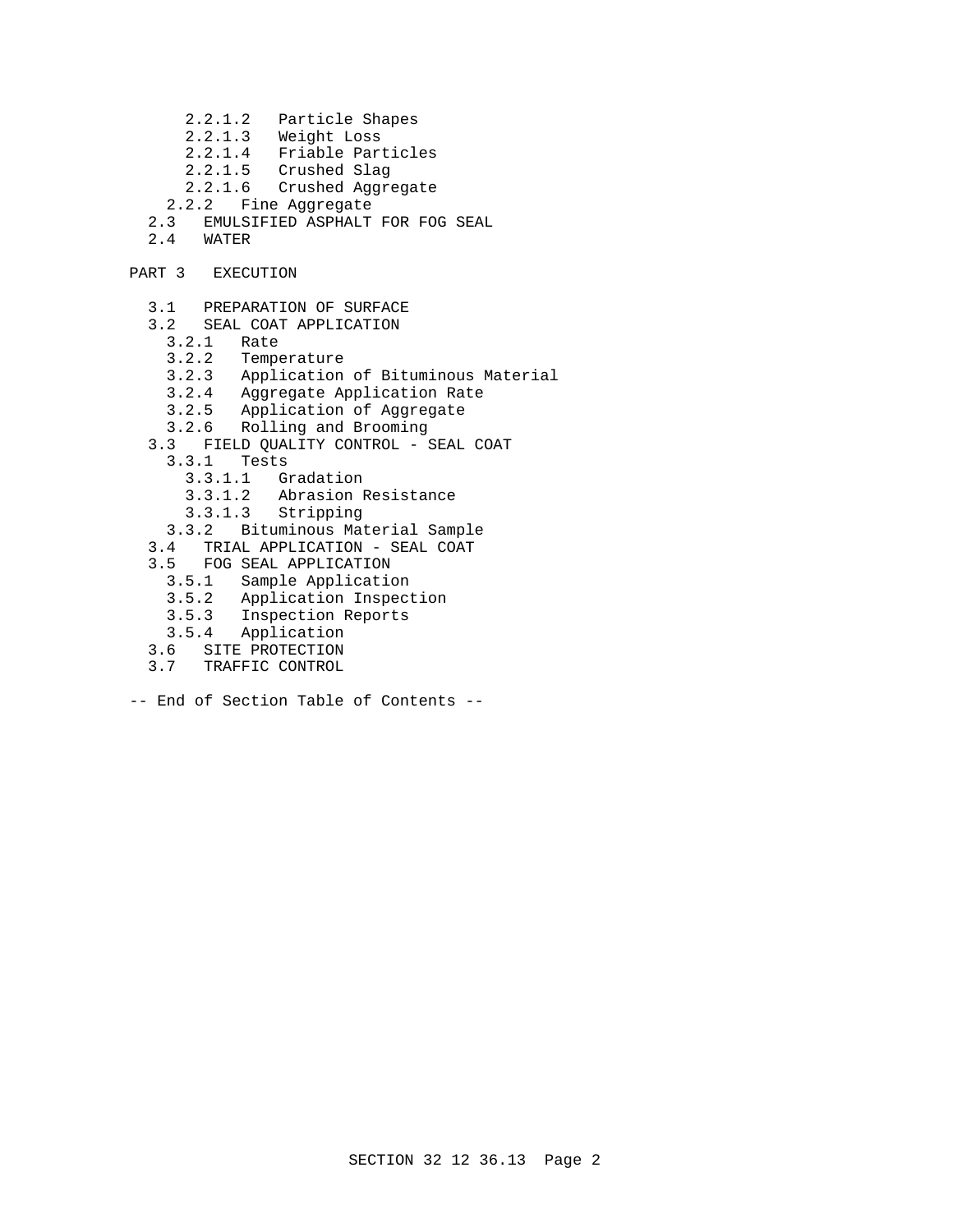- 2.2.1.2 Particle Shapes
- 2.2.1.3 Weight Loss
- 2.2.1.4 Friable Particles
- 2.2.1.5 Crushed Slag
- 2.2.1.6 Crushed Aggregate
- 2.2.2 Fine Aggregate
- 2.3 EMULSIFIED ASPHALT FOR FOG SEAL<br>2.4 WATER
- 2.4 WATER
- PART 3 EXECUTION
	- 3.1 PREPARATION OF SURFACE
	- 3.2 SEAL COAT APPLICATION
		- 3.2.1 Rate
		- 3.2.2 Temperature
		- 3.2.3 Application of Bituminous Material
- 3.2.4 Aggregate Application Rate
- 3.2.5 Application of Aggregate
- 3.2.6 Rolling and Brooming
	- 3.3 FIELD QUALITY CONTROL SEAL COAT
		- 3.3.1 Tests
			- 3.3.1.1 Gradation
			- 3.3.1.2 Abrasion Resistance
		- 3.3.1.3 Stripping
		- 3.3.2 Bituminous Material Sample
	- 3.4 TRIAL APPLICATION SEAL COAT
	- 3.5 FOG SEAL APPLICATION
		- 3.5.1 Sample Application
		- 3.5.2 Application Inspection
- 3.5.3 Inspection Reports
- 3.5.4 Application
	- 3.6 SITE PROTECTION
	- 3.7 TRAFFIC CONTROL
- -- End of Section Table of Contents --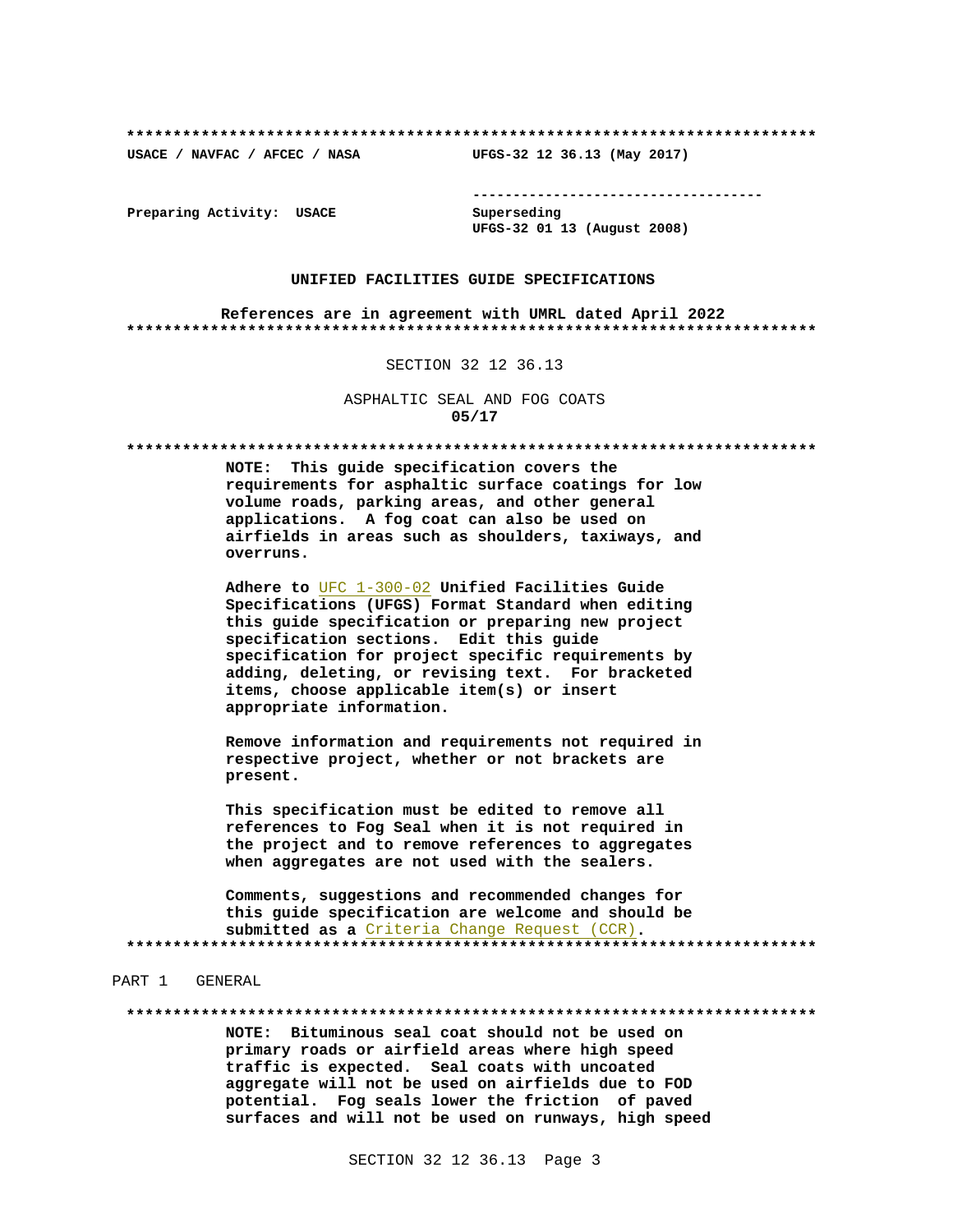USACE / NAVFAC / AFCEC / NASA

--------------------------------------

Preparing Activity: USACE

Superseding UFGS-32 01 13 (August 2008)

UFGS-32 12 36.13 (May 2017)

## UNIFIED FACILITIES GUIDE SPECIFICATIONS

References are in agreement with UMRL dated April 2022 

## SECTION 32 12 36.13

ASPHALTIC SEAL AND FOG COATS  $05/17$ 

NOTE: This guide specification covers the requirements for asphaltic surface coatings for low volume roads, parking areas, and other general applications. A fog coat can also be used on airfields in areas such as shoulders, taxiways, and overruns.

Adhere to UFC 1-300-02 Unified Facilities Guide Specifications (UFGS) Format Standard when editing this guide specification or preparing new project specification sections. Edit this guide specification for project specific requirements by adding, deleting, or revising text. For bracketed items, choose applicable item(s) or insert appropriate information.

Remove information and requirements not required in respective project, whether or not brackets are present.

This specification must be edited to remove all references to Fog Seal when it is not required in the project and to remove references to aggregates when aggregates are not used with the sealers.

Comments, suggestions and recommended changes for this guide specification are welcome and should be submitted as a Criteria Change Request (CCR). 

## PART 1 GENERAL

NOTE: Bituminous seal coat should not be used on primary roads or airfield areas where high speed traffic is expected. Seal coats with uncoated aggregate will not be used on airfields due to FOD potential. Fog seals lower the friction of paved surfaces and will not be used on runways, high speed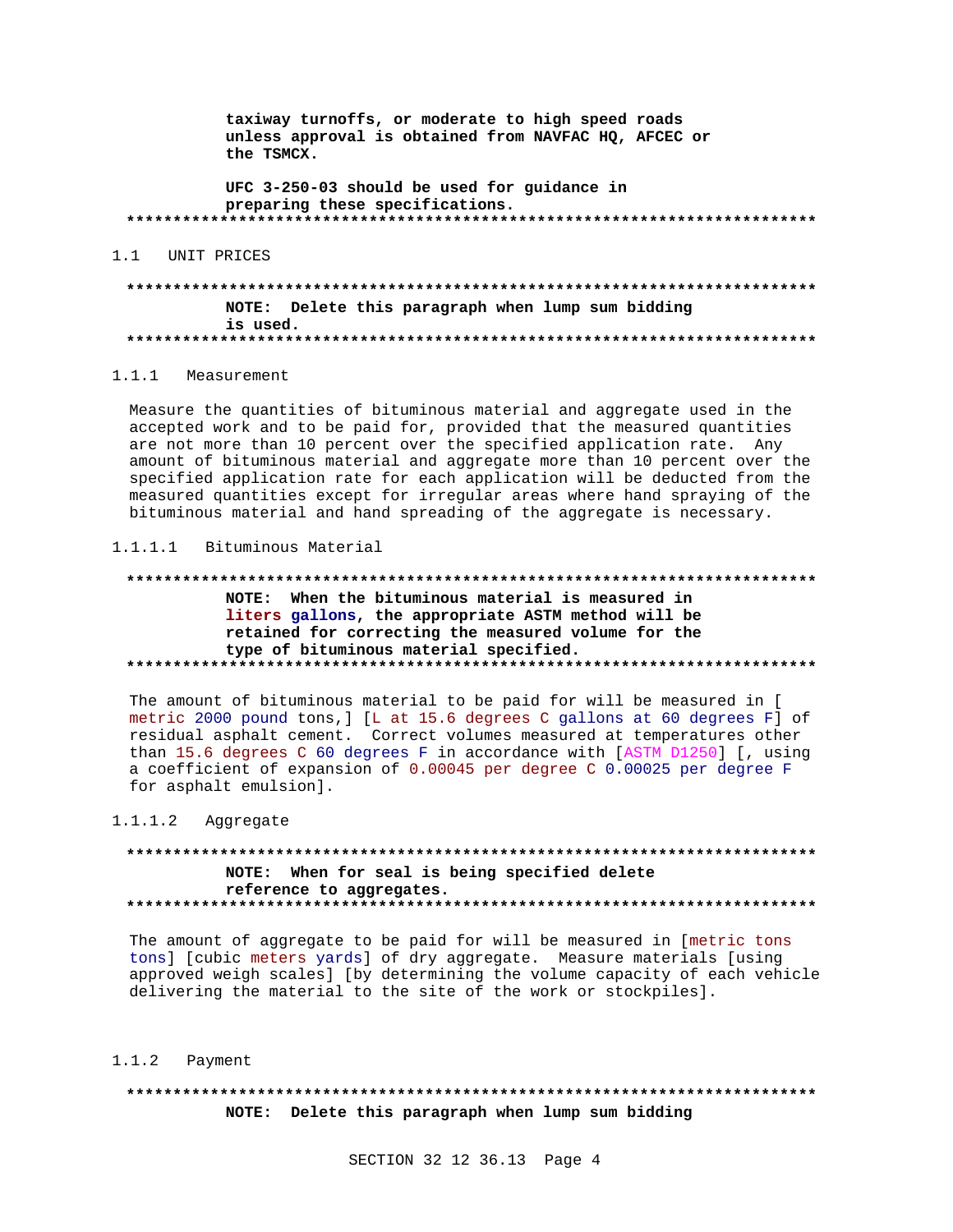taxiway turnoffs, or moderate to high speed roads unless approval is obtained from NAVFAC HQ, AFCEC or the TSMCX.

UFC 3-250-03 should be used for guidance in preparing these specifications. 

## 1.1 UNIT PRICES

## NOTE: Delete this paragraph when lump sum bidding is used.

## 1.1.1 Measurement

Measure the quantities of bituminous material and aggregate used in the accepted work and to be paid for, provided that the measured quantities are not more than 10 percent over the specified application rate. Any amount of bituminous material and aggregate more than 10 percent over the specified application rate for each application will be deducted from the measured quantities except for irregular areas where hand spraying of the bituminous material and hand spreading of the aggregate is necessary.

## 1.1.1.1 Bituminous Material

# NOTE: When the bituminous material is measured in liters gallons, the appropriate ASTM method will be retained for correcting the measured volume for the type of bituminous material specified.

The amount of bituminous material to be paid for will be measured in [ metric 2000 pound tons, ] [L at 15.6 degrees C gallons at 60 degrees F] of residual asphalt cement. Correct volumes measured at temperatures other than 15.6 degrees C 60 degrees F in accordance with [ASTM D1250] [, using a coefficient of expansion of 0.00045 per degree C 0.00025 per degree F for asphalt emulsion].

#### $1.1.1.2$ Aggregate

# NOTE: When for seal is being specified delete reference to aggregates.

The amount of aggregate to be paid for will be measured in [metric tons tons] [cubic meters yards] of dry aggregate. Measure materials [using approved weigh scales] [by determining the volume capacity of each vehicle delivering the material to the site of the work or stockpiles].

#### $1.1.2$ Payment

# NOTE: Delete this paragraph when lump sum bidding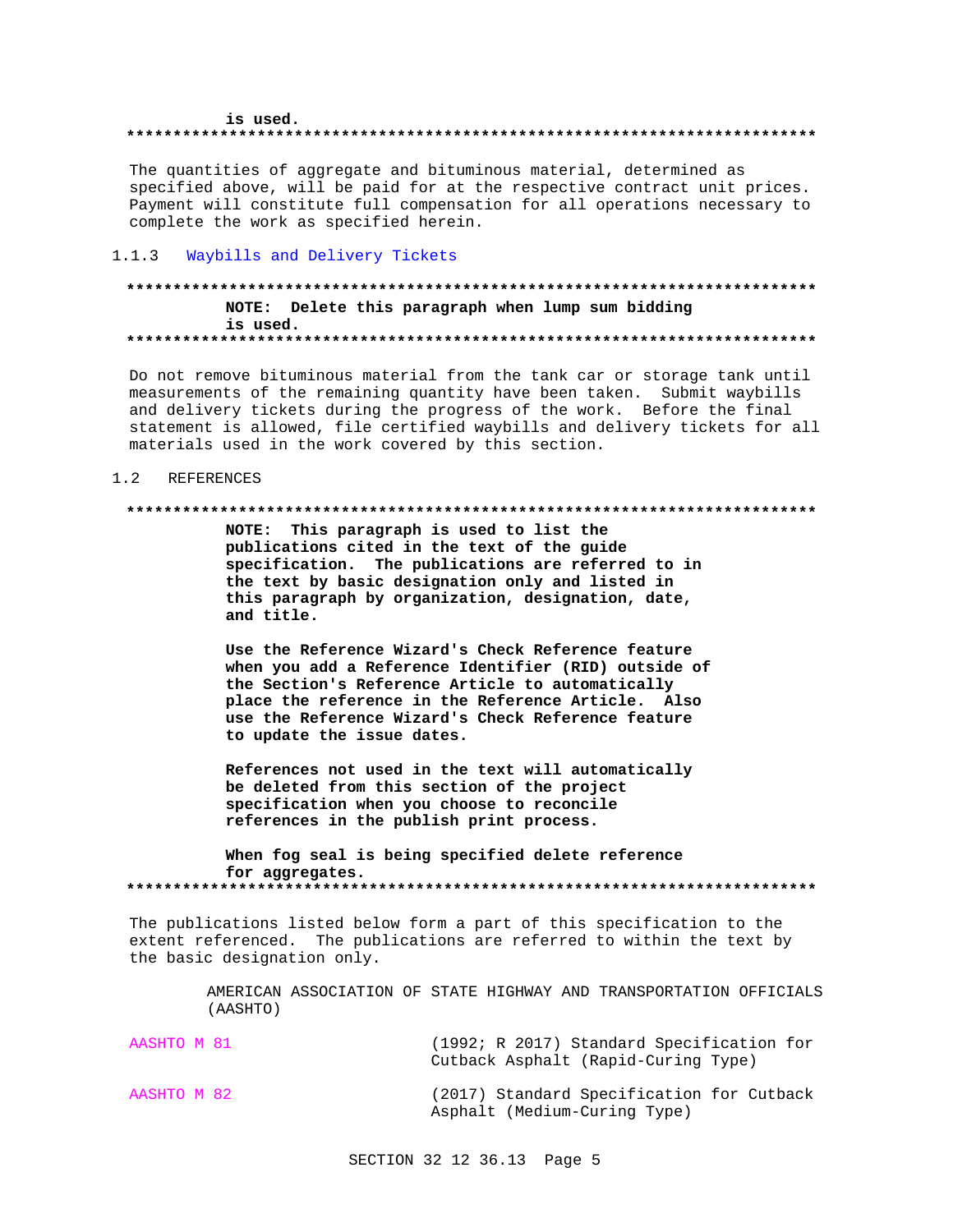### is used.

#### 

The quantities of aggregate and bituminous material, determined as specified above, will be paid for at the respective contract unit prices. Payment will constitute full compensation for all operations necessary to complete the work as specified herein.

### $1.1.3$ Waybills and Delivery Tickets

## NOTE: Delete this paragraph when lump sum bidding is used.

Do not remove bituminous material from the tank car or storage tank until measurements of the remaining quantity have been taken. Submit waybills and delivery tickets during the progress of the work. Before the final statement is allowed, file certified waybills and delivery tickets for all materials used in the work covered by this section.

### $1.2$ REFERENCES

### 

NOTE: This paragraph is used to list the publications cited in the text of the guide specification. The publications are referred to in the text by basic designation only and listed in this paragraph by organization, designation, date, and title.

Use the Reference Wizard's Check Reference feature when you add a Reference Identifier (RID) outside of the Section's Reference Article to automatically place the reference in the Reference Article. Also use the Reference Wizard's Check Reference feature to update the issue dates.

References not used in the text will automatically be deleted from this section of the project specification when you choose to reconcile references in the publish print process.

When fog seal is being specified delete reference for aggregates. 

The publications listed below form a part of this specification to the extent referenced. The publications are referred to within the text by the basic designation only.

> AMERICAN ASSOCIATION OF STATE HIGHWAY AND TRANSPORTATION OFFICIALS (AASHTO)

| AASHTO M 81 |                                     | (1992; R 2017) Standard Specification for |  |
|-------------|-------------------------------------|-------------------------------------------|--|
|             | Cutback Asphalt (Rapid-Curing Type) |                                           |  |

AASHTO M 82 (2017) Standard Specification for Cutback Asphalt (Medium-Curing Type)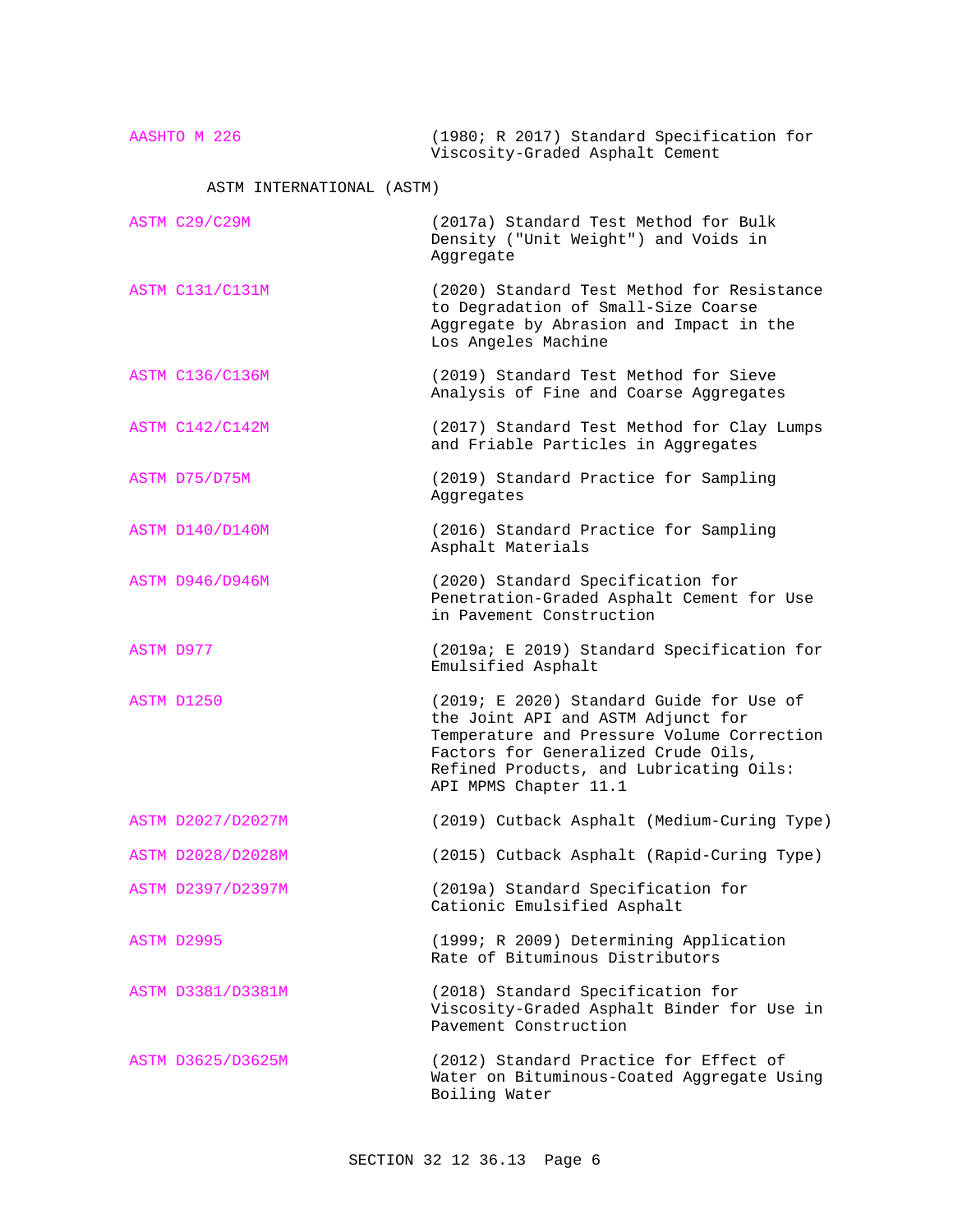AASHTO M 226 (1980; R 2017) Standard Specification for Viscosity-Graded Asphalt Cement ASTM INTERNATIONAL (ASTM) ASTM C29/C29M (2017a) Standard Test Method for Bulk Density ("Unit Weight") and Voids in Aggregate ASTM C131/C131M (2020) Standard Test Method for Resistance to Degradation of Small-Size Coarse Aggregate by Abrasion and Impact in the Los Angeles Machine ASTM C136/C136M (2019) Standard Test Method for Sieve Analysis of Fine and Coarse Aggregates ASTM C142/C142M (2017) Standard Test Method for Clay Lumps and Friable Particles in Aggregates ASTM D75/D75M (2019) Standard Practice for Sampling Aggregates ASTM D140/D140M (2016) Standard Practice for Sampling Asphalt Materials ASTM D946/D946M (2020) Standard Specification for Penetration-Graded Asphalt Cement for Use in Pavement Construction ASTM D977 (2019a; E 2019) Standard Specification for Emulsified Asphalt ASTM D1250 (2019; E 2020) Standard Guide for Use of the Joint API and ASTM Adjunct for Temperature and Pressure Volume Correction Factors for Generalized Crude Oils, Refined Products, and Lubricating Oils: API MPMS Chapter 11.1 ASTM D2027/D2027M (2019) Cutback Asphalt (Medium-Curing Type) ASTM D2028/D2028M (2015) Cutback Asphalt (Rapid-Curing Type) ASTM D2397/D2397M (2019a) Standard Specification for Cationic Emulsified Asphalt ASTM D2995 (1999; R 2009) Determining Application Rate of Bituminous Distributors ASTM D3381/D3381M (2018) Standard Specification for Viscosity-Graded Asphalt Binder for Use in Pavement Construction ASTM D3625/D3625M (2012) Standard Practice for Effect of Water on Bituminous-Coated Aggregate Using Boiling Water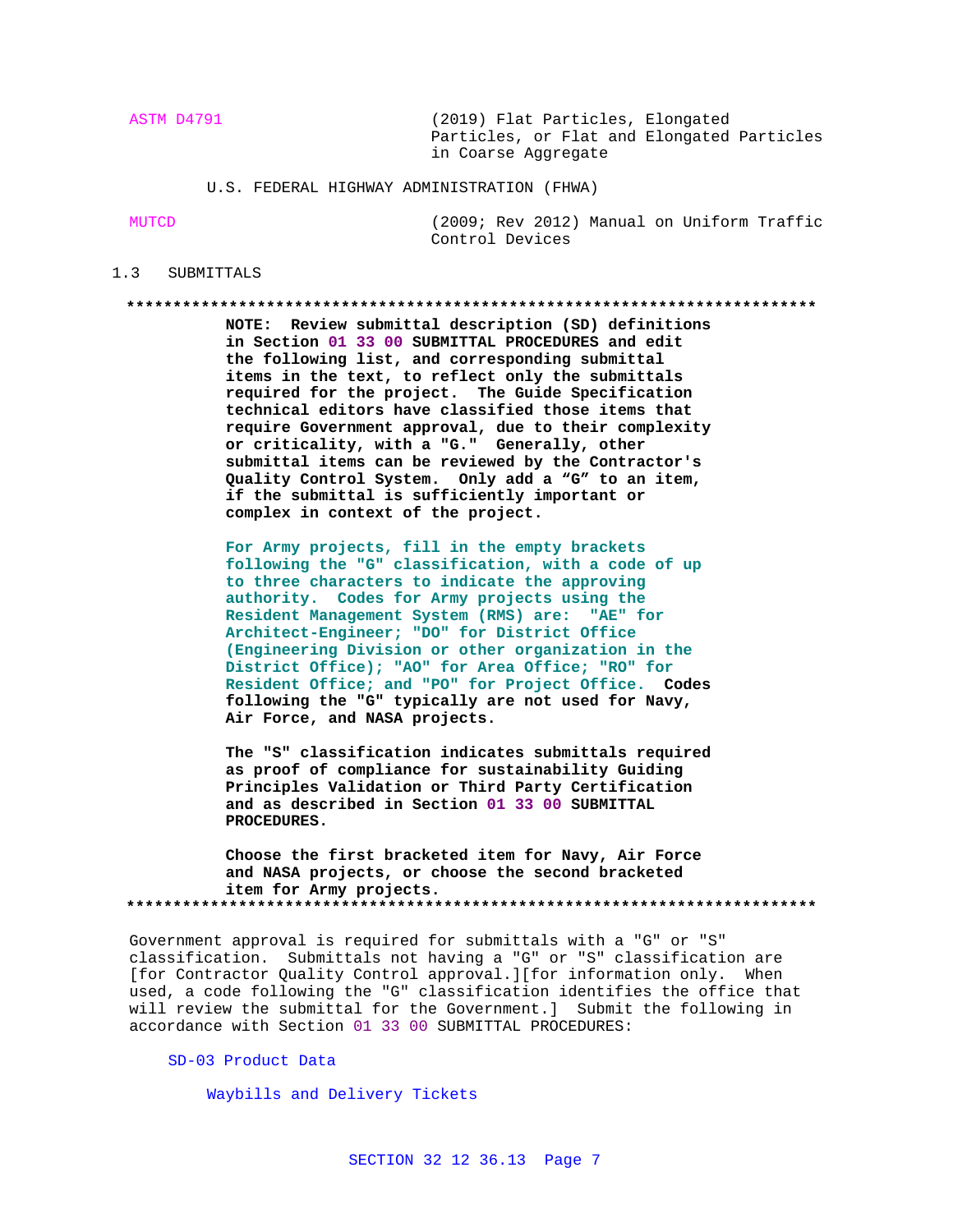ASTM D4791 (2019) Flat Particles, Elongated Particles, or Flat and Elongated Particles in Coarse Aggregate

U.S. FEDERAL HIGHWAY ADMINISTRATION (FHWA)

MUTCD (2009; Rev 2012) Manual on Uniform Traffic Control Devices

## 1.3 SUBMITTALS

### **\*\*\*\*\*\*\*\*\*\*\*\*\*\*\*\*\*\*\*\*\*\*\*\*\*\*\*\*\*\*\*\*\*\*\*\*\*\*\*\*\*\*\*\*\*\*\*\*\*\*\*\*\*\*\*\*\*\*\*\*\*\*\*\*\*\*\*\*\*\*\*\*\*\***

**NOTE: Review submittal description (SD) definitions in Section 01 33 00 SUBMITTAL PROCEDURES and edit the following list, and corresponding submittal items in the text, to reflect only the submittals required for the project. The Guide Specification technical editors have classified those items that require Government approval, due to their complexity or criticality, with a "G." Generally, other submittal items can be reviewed by the Contractor's Quality Control System. Only add a "G" to an item, if the submittal is sufficiently important or complex in context of the project.**

**For Army projects, fill in the empty brackets following the "G" classification, with a code of up to three characters to indicate the approving authority. Codes for Army projects using the Resident Management System (RMS) are: "AE" for Architect-Engineer; "DO" for District Office (Engineering Division or other organization in the District Office); "AO" for Area Office; "RO" for Resident Office; and "PO" for Project Office. Codes following the "G" typically are not used for Navy, Air Force, and NASA projects.**

**The "S" classification indicates submittals required as proof of compliance for sustainability Guiding Principles Validation or Third Party Certification and as described in Section 01 33 00 SUBMITTAL PROCEDURES.**

**Choose the first bracketed item for Navy, Air Force and NASA projects, or choose the second bracketed item for Army projects. \*\*\*\*\*\*\*\*\*\*\*\*\*\*\*\*\*\*\*\*\*\*\*\*\*\*\*\*\*\*\*\*\*\*\*\*\*\*\*\*\*\*\*\*\*\*\*\*\*\*\*\*\*\*\*\*\*\*\*\*\*\*\*\*\*\*\*\*\*\*\*\*\*\***

Government approval is required for submittals with a "G" or "S" classification. Submittals not having a "G" or "S" classification are [for Contractor Quality Control approval.][for information only. When used, a code following the "G" classification identifies the office that will review the submittal for the Government.] Submit the following in accordance with Section 01 33 00 SUBMITTAL PROCEDURES:

# SD-03 Product Data

Waybills and Delivery Tickets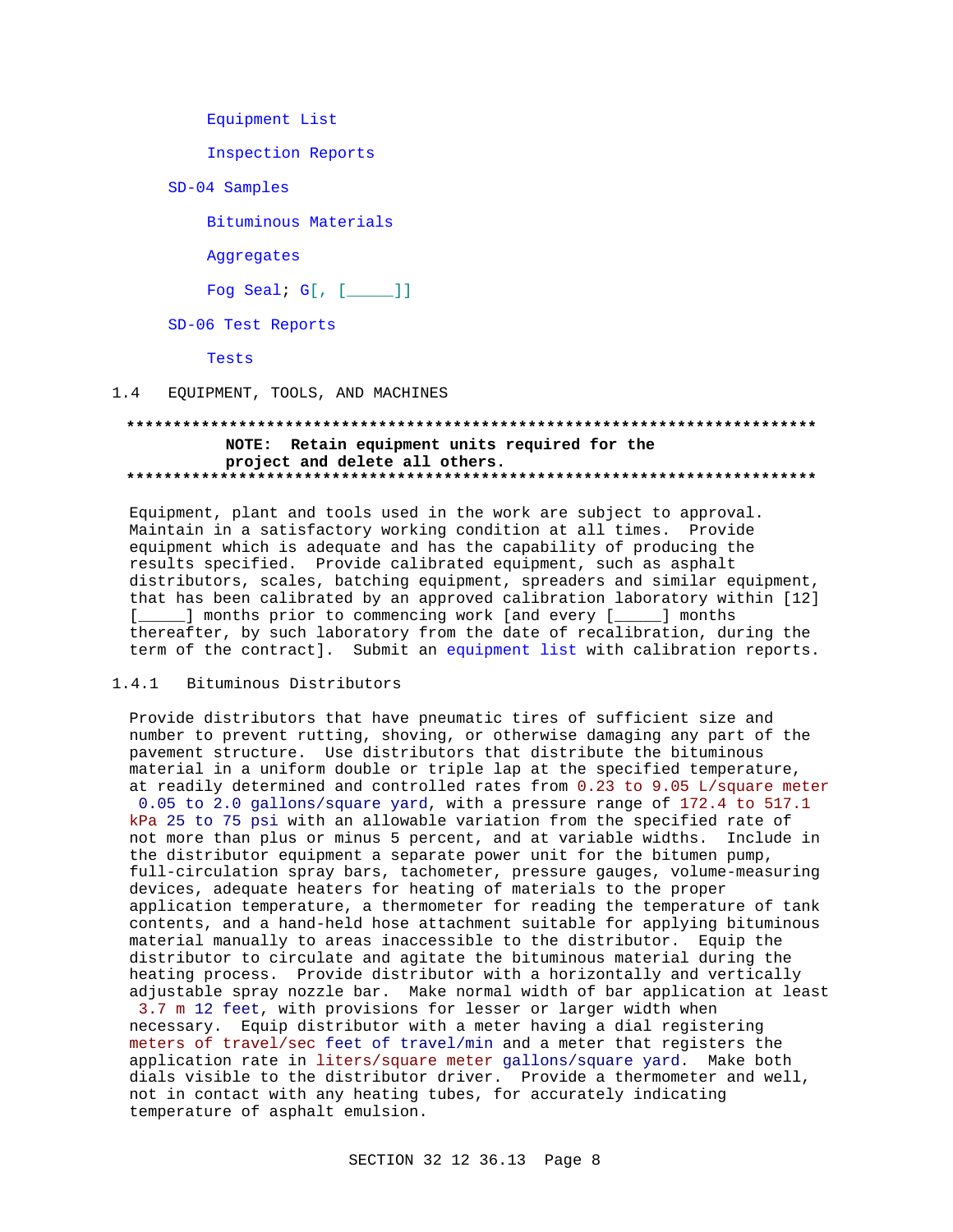Equipment List

Inspection Reports

SD-04 Samples

Bituminous Materials

Aggregates

Fog Seal;  $G[$ ,  $[\underline{\hspace{1cm}}]$ ]

SD-06 Test Reports

Tests

EQUIPMENT, TOOLS, AND MACHINES  $1.4$ 

## NOTE: Retain equipment units required for the project and delete all others.

Equipment, plant and tools used in the work are subject to approval. Maintain in a satisfactory working condition at all times. Provide equipment which is adequate and has the capability of producing the results specified. Provide calibrated equipment, such as asphalt distributors, scales, batching equipment, spreaders and similar equipment, that has been calibrated by an approved calibration laboratory within [12] [\_\_\_\_\_] months prior to commencing work [and every [\_\_\_\_\_] months thereafter, by such laboratory from the date of recalibration, during the term of the contract]. Submit an equipment list with calibration reports.

### $1.4.1$ Bituminous Distributors

Provide distributors that have pneumatic tires of sufficient size and number to prevent rutting, shoving, or otherwise damaging any part of the pavement structure. Use distributors that distribute the bituminous material in a uniform double or triple lap at the specified temperature, at readily determined and controlled rates from 0.23 to 9.05 L/square meter

0.05 to 2.0 gallons/square yard, with a pressure range of 172.4 to 517.1 kPa 25 to 75 psi with an allowable variation from the specified rate of not more than plus or minus 5 percent, and at variable widths. Include in the distributor equipment a separate power unit for the bitumen pump, full-circulation spray bars, tachometer, pressure gauges, volume-measuring devices, adequate heaters for heating of materials to the proper application temperature, a thermometer for reading the temperature of tank contents, and a hand-held hose attachment suitable for applying bituminous material manually to areas inaccessible to the distributor. Equip the distributor to circulate and agitate the bituminous material during the heating process. Provide distributor with a horizontally and vertically adjustable spray nozzle bar. Make normal width of bar application at least

3.7 m 12 feet, with provisions for lesser or larger width when necessary. Equip distributor with a meter having a dial registering meters of travel/sec feet of travel/min and a meter that registers the application rate in liters/square meter gallons/square yard. Make both dials visible to the distributor driver. Provide a thermometer and well, not in contact with any heating tubes, for accurately indicating temperature of asphalt emulsion.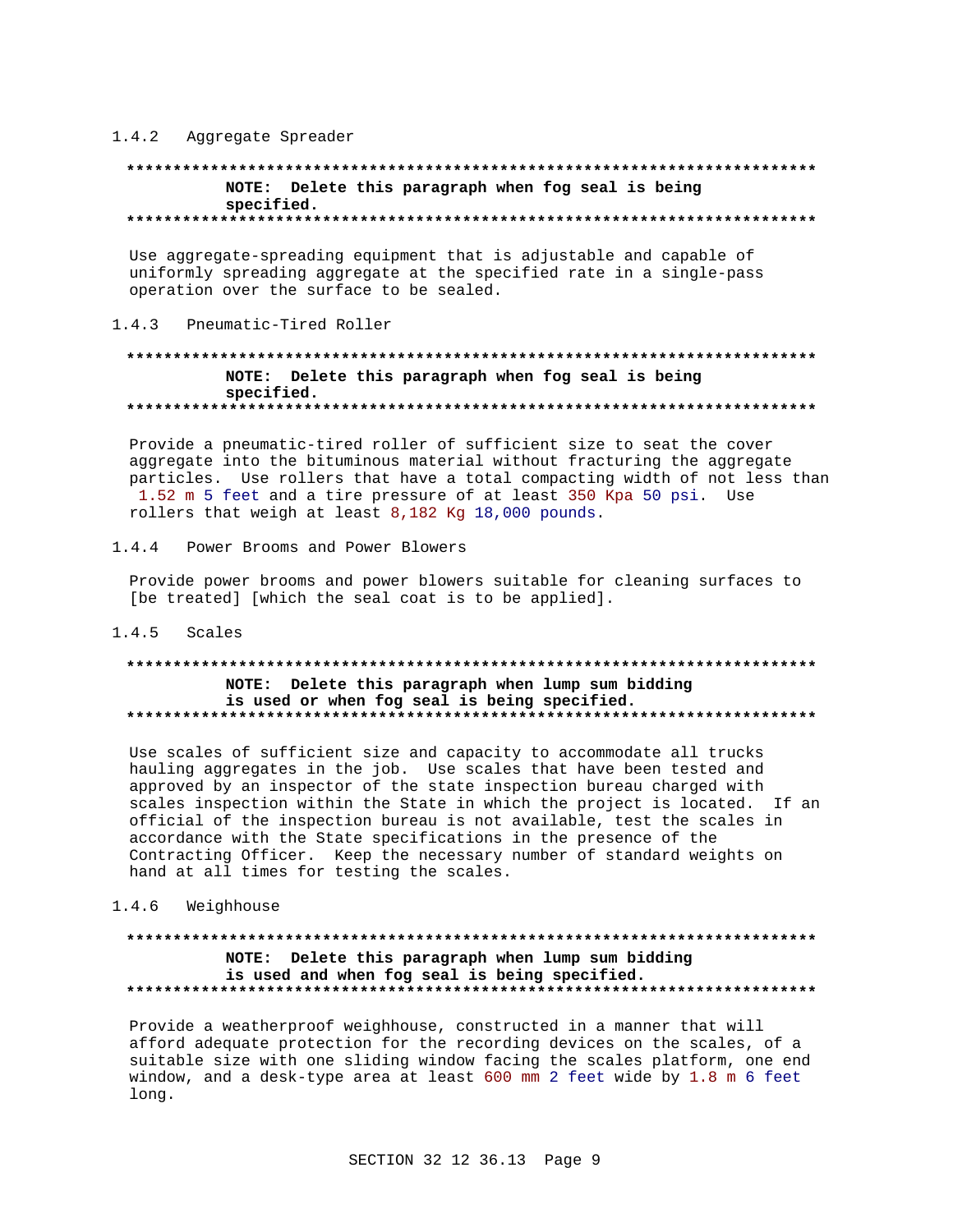# 1.4.2 Aggregate Spreader

## NOTE: Delete this paragraph when fog seal is being specified.

Use aggregate-spreading equipment that is adjustable and capable of uniformly spreading aggregate at the specified rate in a single-pass operation over the surface to be sealed.

### Pneumatic-Tired Roller  $143$

## NOTE: Delete this paragraph when fog seal is being specified.

Provide a pneumatic-tired roller of sufficient size to seat the cover aggregate into the bituminous material without fracturing the aggregate particles. Use rollers that have a total compacting width of not less than 1.52 m 5 feet and a tire pressure of at least 350 Kpa 50 psi. Use rollers that weigh at least 8,182 Kg 18,000 pounds.

 $1.4.4$ Power Brooms and Power Blowers

Provide power brooms and power blowers suitable for cleaning surfaces to [be treated] [which the seal coat is to be applied].

## $1.4.5$  Scales

## NOTE: Delete this paragraph when lump sum bidding is used or when fog seal is being specified.

Use scales of sufficient size and capacity to accommodate all trucks hauling aggregates in the job. Use scales that have been tested and approved by an inspector of the state inspection bureau charged with scales inspection within the State in which the project is located. If an official of the inspection bureau is not available, test the scales in accordance with the State specifications in the presence of the Contracting Officer. Keep the necessary number of standard weights on hand at all times for testing the scales.

## 1.4.6 Weighhouse

## NOTE: Delete this paragraph when lump sum bidding is used and when fog seal is being specified.

Provide a weatherproof weighhouse, constructed in a manner that will afford adequate protection for the recording devices on the scales, of a suitable size with one sliding window facing the scales platform, one end window, and a desk-type area at least 600 mm 2 feet wide by 1.8 m 6 feet long.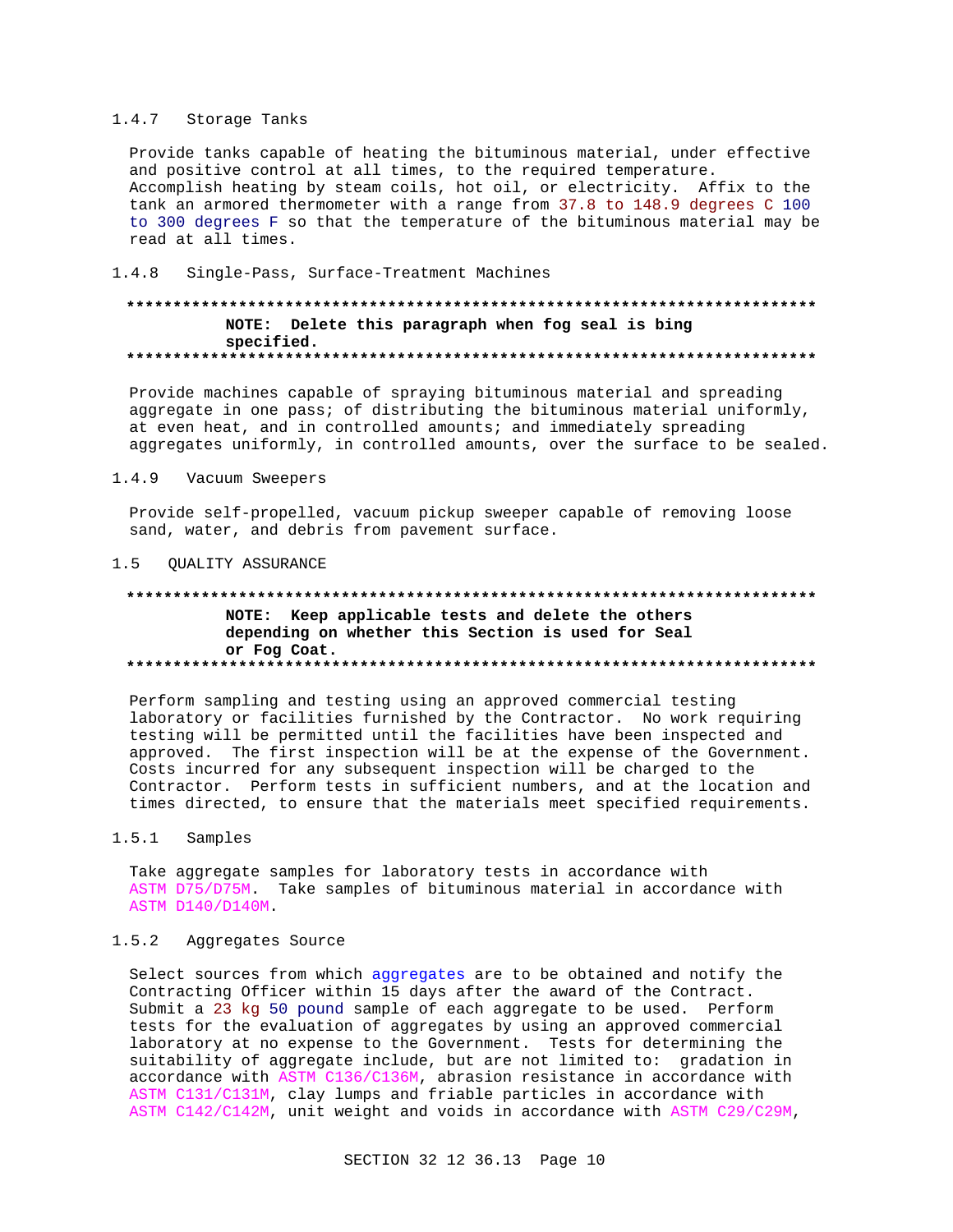## 1.4.7 Storage Tanks

Provide tanks capable of heating the bituminous material, under effective and positive control at all times, to the required temperature. Accomplish heating by steam coils, hot oil, or electricity. Affix to the tank an armored thermometer with a range from 37.8 to 148.9 degrees C 100 to 300 degrees F so that the temperature of the bituminous material may be read at all times.

### $1.4.8$ Single-Pass, Surface-Treatment Machines

## NOTE: Delete this paragraph when fog seal is bing specified.

Provide machines capable of spraying bituminous material and spreading aggregate in one pass; of distributing the bituminous material uniformly, at even heat, and in controlled amounts; and immediately spreading aggregates uniformly, in controlled amounts, over the surface to be sealed.

### $1.4.9$ Vacuum Sweepers

Provide self-propelled, vacuum pickup sweeper capable of removing loose sand, water, and debris from pavement surface.

## 1.5 QUALITY ASSURANCE

## 

NOTE: Keep applicable tests and delete the others depending on whether this Section is used for Seal or Fog Coat. 

Perform sampling and testing using an approved commercial testing laboratory or facilities furnished by the Contractor. No work requiring testing will be permitted until the facilities have been inspected and approved. The first inspection will be at the expense of the Government. Costs incurred for any subsequent inspection will be charged to the Contractor. Perform tests in sufficient numbers, and at the location and times directed, to ensure that the materials meet specified requirements.

### $1.5.1$ Samples

Take aggregate samples for laboratory tests in accordance with ASTM D75/D75M. Take samples of bituminous material in accordance with ASTM D140/D140M.

### $1.5.2$ Aggregates Source

Select sources from which aggregates are to be obtained and notify the Contracting Officer within 15 days after the award of the Contract. Submit a 23 kg 50 pound sample of each aggregate to be used. Perform tests for the evaluation of aggregates by using an approved commercial laboratory at no expense to the Government. Tests for determining the suitability of aggregate include, but are not limited to: gradation in accordance with ASTM C136/C136M, abrasion resistance in accordance with ASTM C131/C131M, clay lumps and friable particles in accordance with ASTM C142/C142M, unit weight and voids in accordance with ASTM C29/C29M,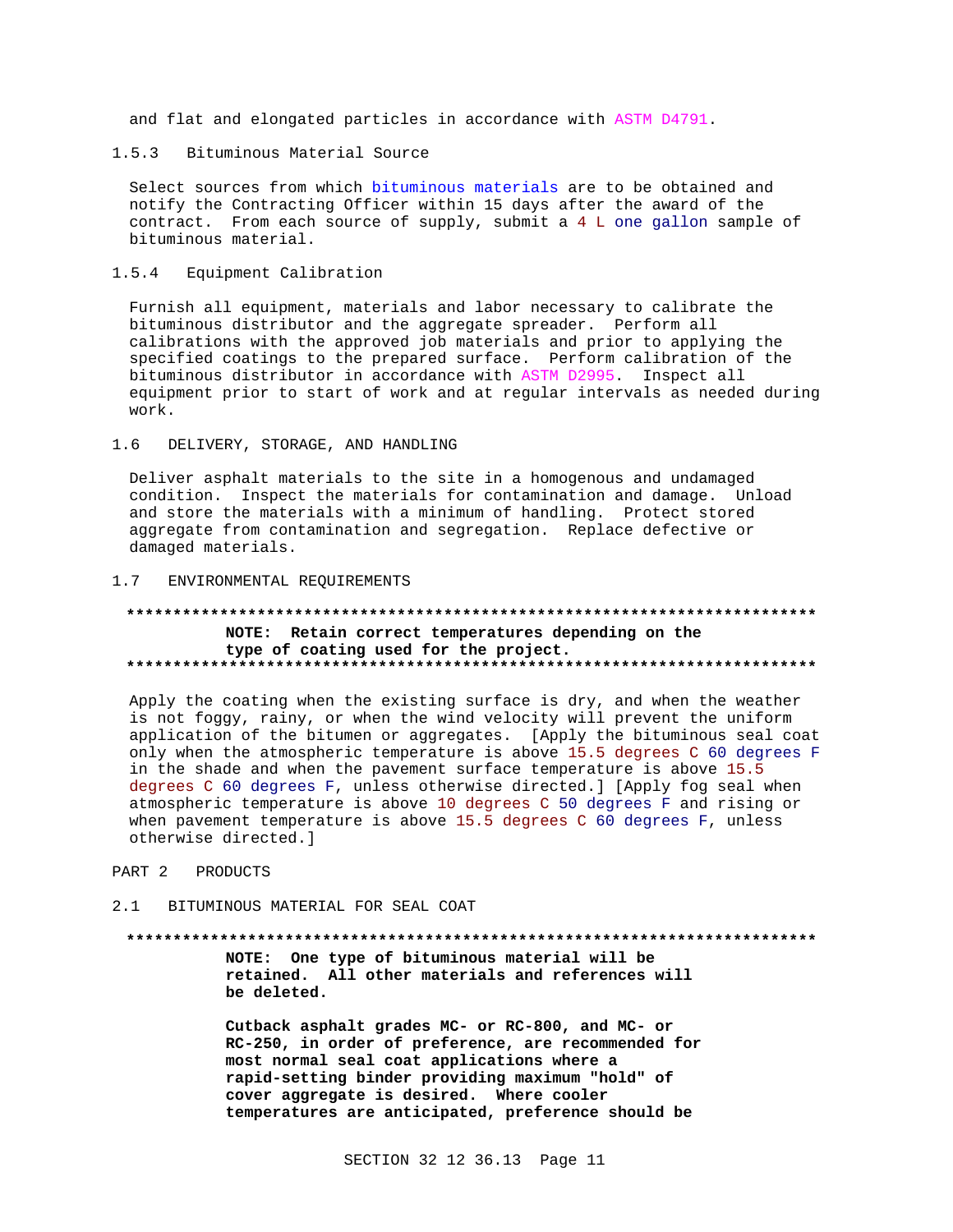and flat and elongated particles in accordance with ASTM D4791

 $1.5.3$ Bituminous Material Source

Select sources from which bituminous materials are to be obtained and notify the Contracting Officer within 15 days after the award of the contract. From each source of supply, submit a 4 L one gallon sample of bituminous material.

 $1.5.4$ Equipment Calibration

Furnish all equipment, materials and labor necessary to calibrate the bituminous distributor and the aggregate spreader. Perform all calibrations with the approved job materials and prior to applying the specified coatings to the prepared surface. Perform calibration of the bituminous distributor in accordance with ASTM D2995. Inspect all equipment prior to start of work and at regular intervals as needed during work.

 $1.6$ DELIVERY, STORAGE, AND HANDLING

Deliver asphalt materials to the site in a homogenous and undamaged condition. Inspect the materials for contamination and damage. Unload and store the materials with a minimum of handling. Protect stored aggregate from contamination and segregation. Replace defective or damaged materials.

### ENVIRONMENTAL REQUIREMENTS  $1.7$

### \*\*\*\*\*\*\*\*\*\*\*\*\*\*\*\* NOTE: Retain correct temperatures depending on the type of coating used for the project.

Apply the coating when the existing surface is dry, and when the weather is not foggy, rainy, or when the wind velocity will prevent the uniform application of the bitumen or aggregates. [Apply the bituminous seal coat only when the atmospheric temperature is above 15.5 degrees C 60 degrees F in the shade and when the pavement surface temperature is above 15.5 degrees C 60 degrees F, unless otherwise directed.] [Apply fog seal when atmospheric temperature is above 10 degrees C 50 degrees F and rising or when pavement temperature is above  $15.5$  degrees C 60 degrees F, unless otherwise directed.]

- PART 2 **PRODIICTS**
- BITUMINOUS MATERIAL FOR SEAL COAT  $2.1$

### 

NOTE: One type of bituminous material will be retained. All other materials and references will be deleted.

Cutback asphalt grades MC- or RC-800, and MC- or RC-250, in order of preference, are recommended for most normal seal coat applications where a rapid-setting binder providing maximum "hold" of cover aggregate is desired. Where cooler temperatures are anticipated, preference should be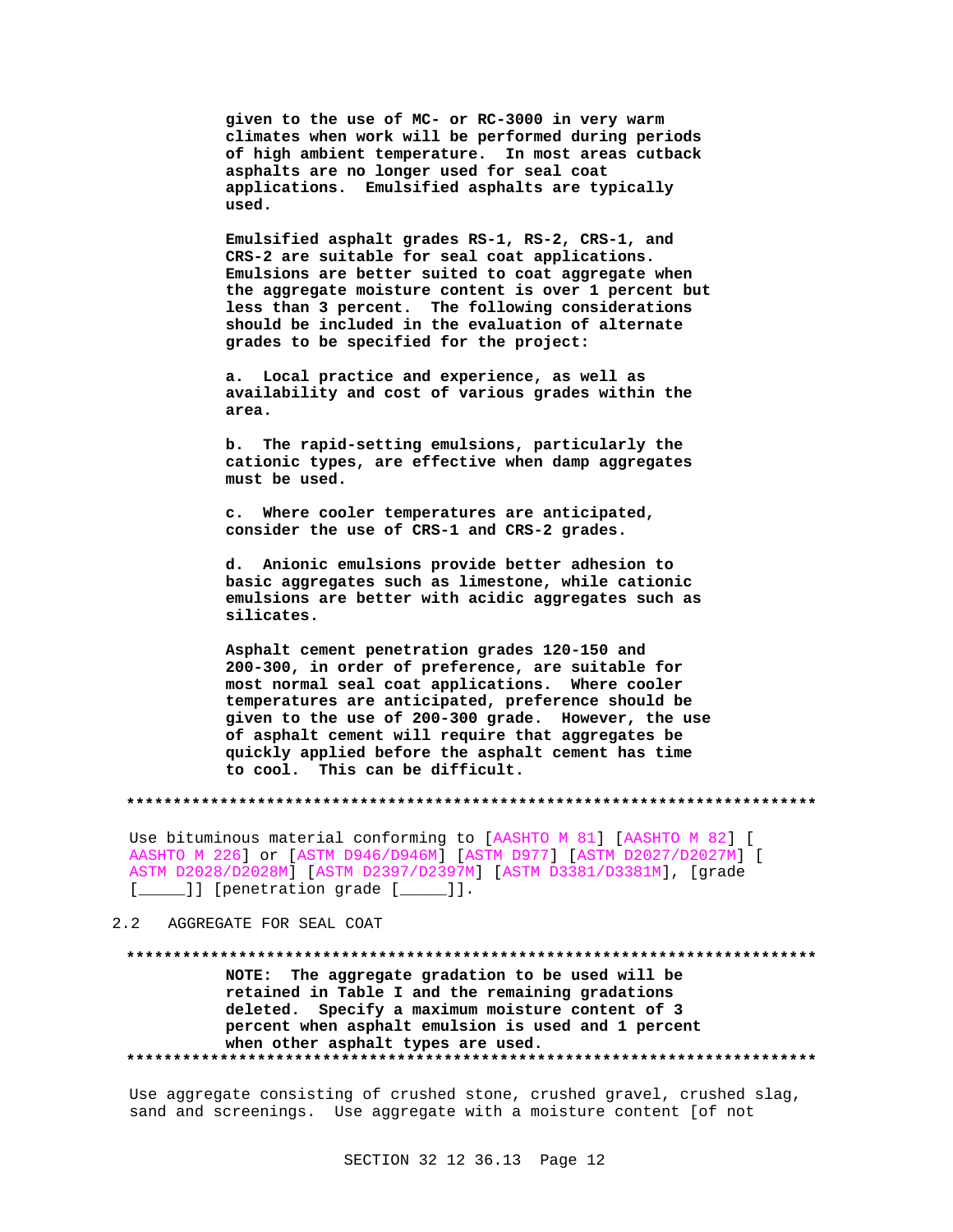**given to the use of MC- or RC-3000 in very warm climates when work will be performed during periods of high ambient temperature. In most areas cutback asphalts are no longer used for seal coat applications. Emulsified asphalts are typically used.**

**Emulsified asphalt grades RS-1, RS-2, CRS-1, and CRS-2 are suitable for seal coat applications. Emulsions are better suited to coat aggregate when the aggregate moisture content is over 1 percent but less than 3 percent. The following considerations should be included in the evaluation of alternate grades to be specified for the project:**

**a. Local practice and experience, as well as availability and cost of various grades within the area.**

**b. The rapid-setting emulsions, particularly the cationic types, are effective when damp aggregates must be used.**

**c. Where cooler temperatures are anticipated, consider the use of CRS-1 and CRS-2 grades.**

**d. Anionic emulsions provide better adhesion to basic aggregates such as limestone, while cationic emulsions are better with acidic aggregates such as silicates.**

**Asphalt cement penetration grades 120-150 and 200-300, in order of preference, are suitable for most normal seal coat applications. Where cooler temperatures are anticipated, preference should be given to the use of 200-300 grade. However, the use of asphalt cement will require that aggregates be quickly applied before the asphalt cement has time to cool. This can be difficult.**

**\*\*\*\*\*\*\*\*\*\*\*\*\*\*\*\*\*\*\*\*\*\*\*\*\*\*\*\*\*\*\*\*\*\*\*\*\*\*\*\*\*\*\*\*\*\*\*\*\*\*\*\*\*\*\*\*\*\*\*\*\*\*\*\*\*\*\*\*\*\*\*\*\*\***

Use bituminous material conforming to [AASHTO M 81] [AASHTO M 82] [ AASHTO M 226] or [ASTM D946/D946M] [ASTM D977] [ASTM D2027/D2027M] [ ASTM D2028/D2028M] [ASTM D2397/D2397M] [ASTM D3381/D3381M], [grade [*\_\_\_\_*]] [penetration grade [*\_\_\_\_*]].

# 2.2 AGGREGATE FOR SEAL COAT

**\*\*\*\*\*\*\*\*\*\*\*\*\*\*\*\*\*\*\*\*\*\*\*\*\*\*\*\*\*\*\*\*\*\*\*\*\*\*\*\*\*\*\*\*\*\*\*\*\*\*\*\*\*\*\*\*\*\*\*\*\*\*\*\*\*\*\*\*\*\*\*\*\*\* NOTE: The aggregate gradation to be used will be retained in Table I and the remaining gradations deleted. Specify a maximum moisture content of 3 percent when asphalt emulsion is used and 1 percent when other asphalt types are used. \*\*\*\*\*\*\*\*\*\*\*\*\*\*\*\*\*\*\*\*\*\*\*\*\*\*\*\*\*\*\*\*\*\*\*\*\*\*\*\*\*\*\*\*\*\*\*\*\*\*\*\*\*\*\*\*\*\*\*\*\*\*\*\*\*\*\*\*\*\*\*\*\*\***

Use aggregate consisting of crushed stone, crushed gravel, crushed slag, sand and screenings. Use aggregate with a moisture content [of not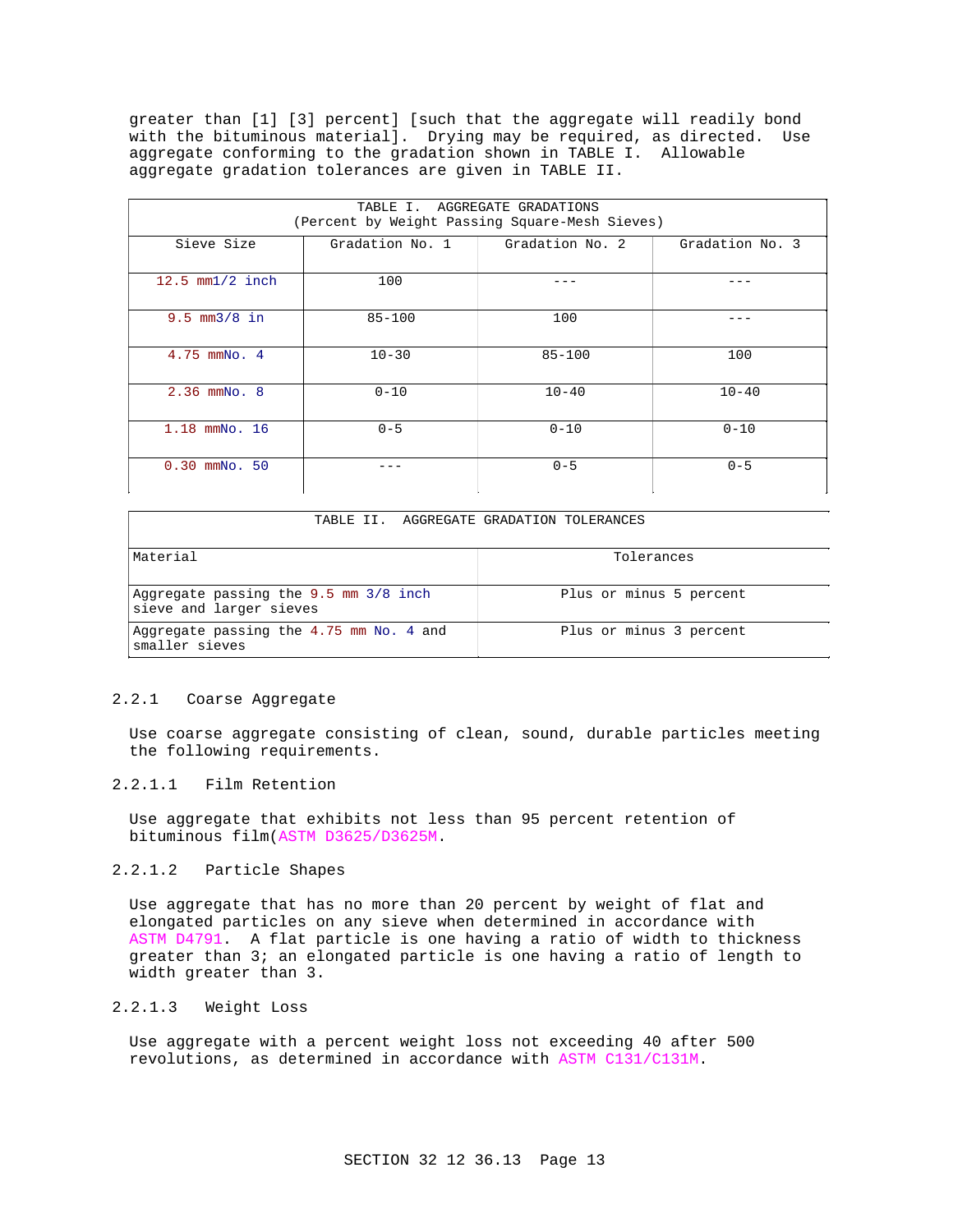greater than [1] [3] percent] [such that the aggregate will readily bond with the bituminous material]. Drying may be required, as directed. Use aggregate conforming to the gradation shown in TABLE I. Allowable aggregate gradation tolerances are given in TABLE II.

| TABLE I. AGGREGATE GRADATIONS<br>(Percent by Weight Passing Square-Mesh Sieves) |                 |                 |                 |  |
|---------------------------------------------------------------------------------|-----------------|-----------------|-----------------|--|
| Sieve Size                                                                      | Gradation No. 1 | Gradation No. 2 | Gradation No. 3 |  |
| $12.5$ mm $1/2$ inch                                                            | 100             |                 |                 |  |
| $9.5 \, \text{mm}3/8 \, \text{in}$                                              | $85 - 100$      | 100             |                 |  |
| $4.75$ mmNo. $4$                                                                | $10 - 30$       | $85 - 100$      | 100             |  |
| $2.36$ mmNo. 8                                                                  | $0 - 10$        | $10 - 40$       | $10 - 40$       |  |
| 1.18 mmNo. 16                                                                   | $0 - 5$         | $0 - 10$        | $0 - 10$        |  |
| $0.30$ mmNo. $50$                                                               |                 | $0 - 5$         | $0 - 5$         |  |

# TABLE II. AGGREGATE GRADATION TOLERANCES

| Material                                                             | Tolerances              |
|----------------------------------------------------------------------|-------------------------|
| Aggregate passing the $9.5$ mm $3/8$ inch<br>sieve and larger sieves | Plus or minus 5 percent |
| Aggregate passing the 4.75 mm No. 4 and<br>smaller sieves            | Plus or minus 3 percent |

## 2.2.1 Coarse Aggregate

Use coarse aggregate consisting of clean, sound, durable particles meeting the following requirements.

# 2.2.1.1 Film Retention

Use aggregate that exhibits not less than 95 percent retention of bituminous film(ASTM D3625/D3625M.

# 2.2.1.2 Particle Shapes

Use aggregate that has no more than 20 percent by weight of flat and elongated particles on any sieve when determined in accordance with ASTM D4791. A flat particle is one having a ratio of width to thickness greater than 3; an elongated particle is one having a ratio of length to width greater than 3.

# 2.2.1.3 Weight Loss

Use aggregate with a percent weight loss not exceeding 40 after 500 revolutions, as determined in accordance with ASTM C131/C131M.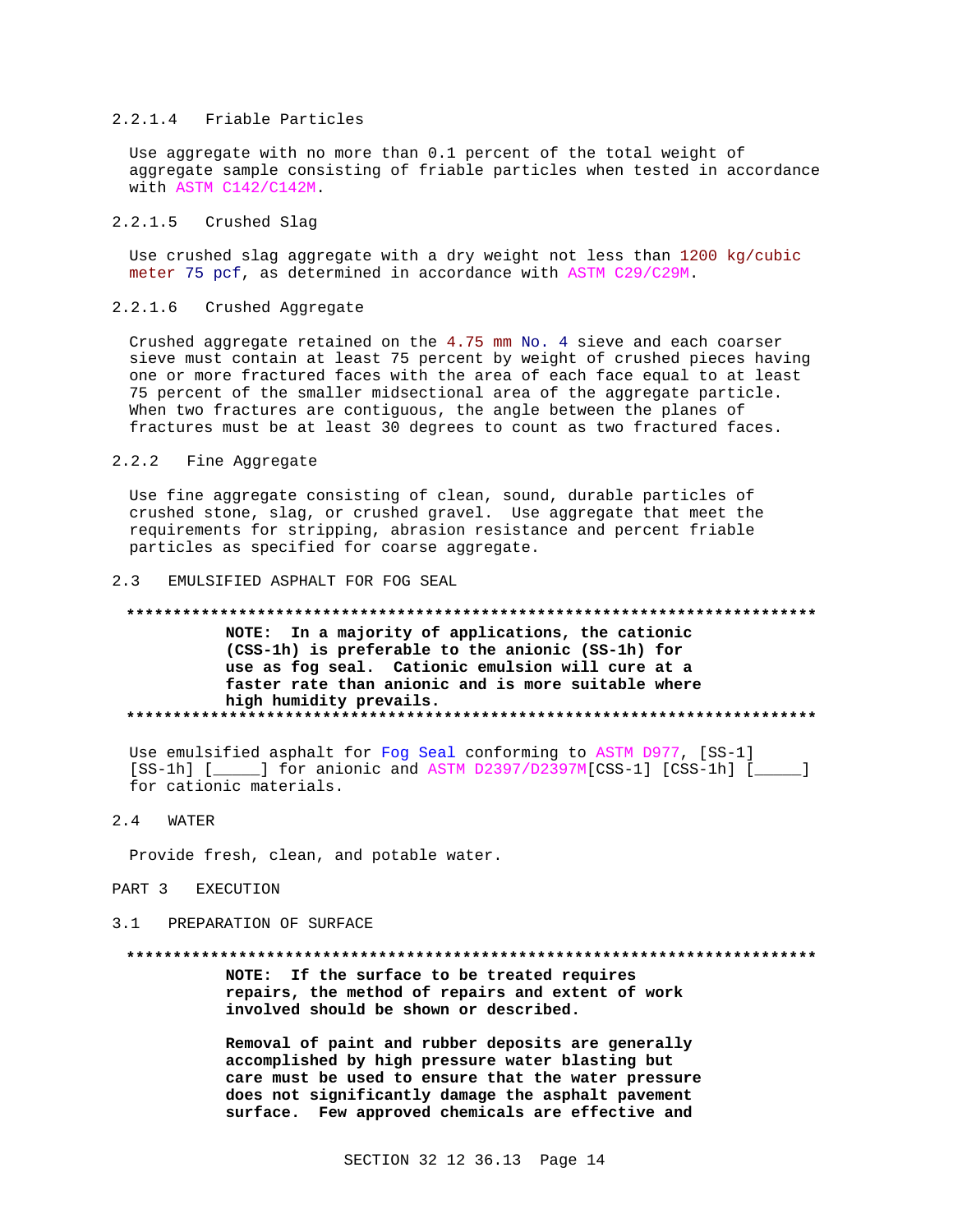## 2.2.1.4 Friable Particles

Use aggregate with no more than 0.1 percent of the total weight of aggregate sample consisting of friable particles when tested in accordance with ASTM C142/C142M.

## 2.2.1.5 Crushed Slag

Use crushed slag aggregate with a dry weight not less than 1200 kg/cubic meter 75 pcf, as determined in accordance with ASTM C29/C29M.

### $2.2.1.6$ Crushed Aggregate

Crushed aggregate retained on the 4.75 mm No. 4 sieve and each coarser sieve must contain at least 75 percent by weight of crushed pieces having one or more fractured faces with the area of each face equal to at least 75 percent of the smaller midsectional area of the aggregate particle. When two fractures are contiguous, the angle between the planes of fractures must be at least 30 degrees to count as two fractured faces.

### $2.2.2$ Fine Aggregate

Use fine aggregate consisting of clean, sound, durable particles of crushed stone, slag, or crushed gravel. Use aggregate that meet the requirements for stripping, abrasion resistance and percent friable particles as specified for coarse aggregate.

#### $2.3$ EMULSIFIED ASPHALT FOR FOG SEAL

## 

NOTE: In a majority of applications, the cationic (CSS-1h) is preferable to the anionic (SS-1h) for use as fog seal. Cationic emulsion will cure at a faster rate than anionic and is more suitable where high humidity prevails. 

Use emulsified asphalt for Fog Seal conforming to ASTM D977, [SS-1] [SS-1h] [\_\_\_\_\_] for anionic and ASTM D2397/D2397M[CSS-1] [CSS-1h] [\_\_\_\_] for cationic materials.

### $2.4$ **WATER**

Provide fresh, clean, and potable water.

## PART 3 EXECUTION

### PREPARATION OF SURFACE  $3.1$

### 

NOTE: If the surface to be treated requires repairs, the method of repairs and extent of work involved should be shown or described.

Removal of paint and rubber deposits are generally accomplished by high pressure water blasting but care must be used to ensure that the water pressure does not significantly damage the asphalt pavement surface. Few approved chemicals are effective and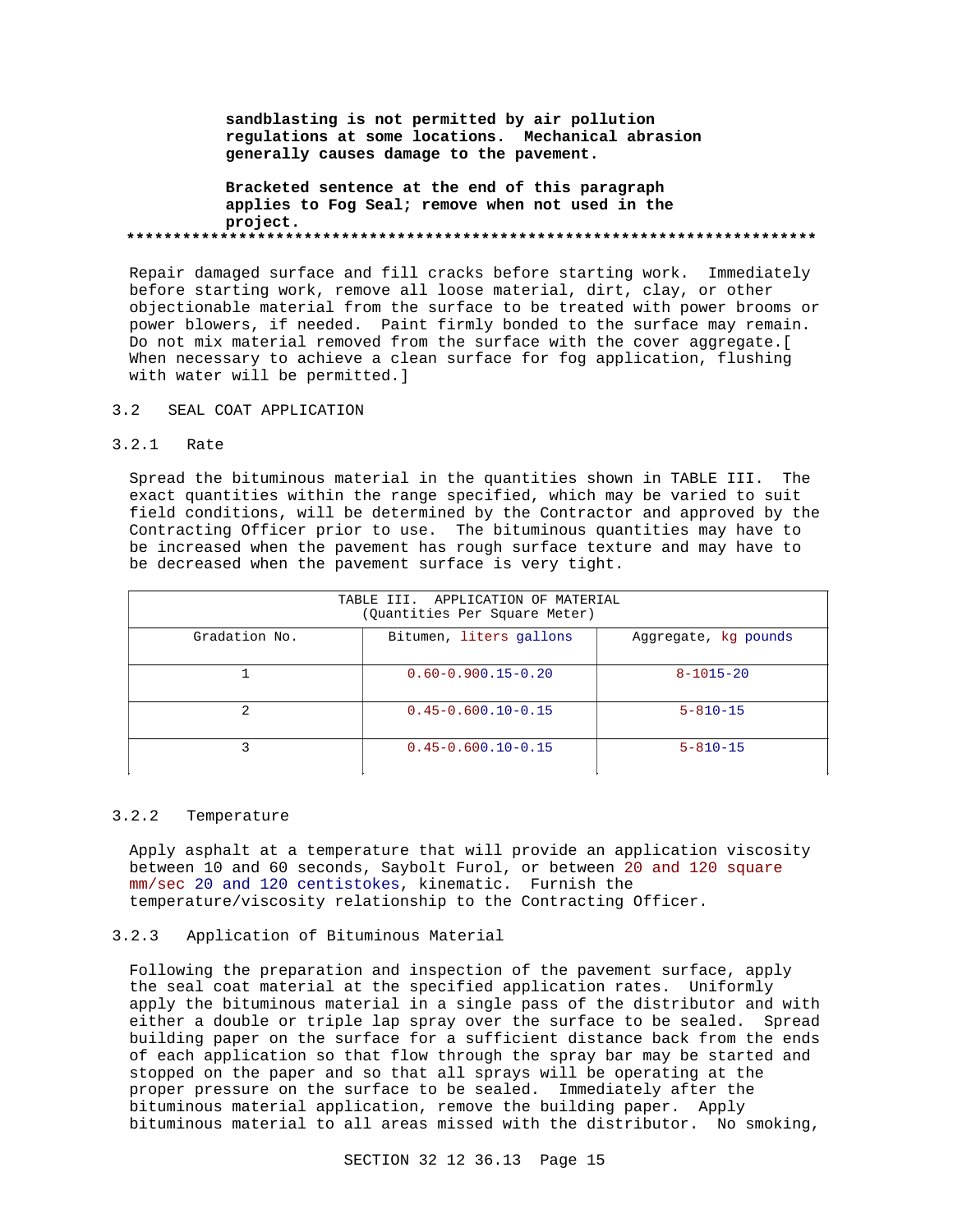**sandblasting is not permitted by air pollution regulations at some locations. Mechanical abrasion generally causes damage to the pavement.**

**Bracketed sentence at the end of this paragraph applies to Fog Seal; remove when not used in the project. \*\*\*\*\*\*\*\*\*\*\*\*\*\*\*\*\*\*\*\*\*\*\*\*\*\*\*\*\*\*\*\*\*\*\*\*\*\*\*\*\*\*\*\*\*\*\*\*\*\*\*\*\*\*\*\*\*\*\*\*\*\*\*\*\*\*\*\*\*\*\*\*\*\***

Repair damaged surface and fill cracks before starting work. Immediately before starting work, remove all loose material, dirt, clay, or other objectionable material from the surface to be treated with power brooms or power blowers, if needed. Paint firmly bonded to the surface may remain. Do not mix material removed from the surface with the cover aggregate.[ When necessary to achieve a clean surface for fog application, flushing with water will be permitted.]

## 3.2 SEAL COAT APPLICATION

# 3.2.1 Rate

Spread the bituminous material in the quantities shown in TABLE III. The exact quantities within the range specified, which may be varied to suit field conditions, will be determined by the Contractor and approved by the Contracting Officer prior to use. The bituminous quantities may have to be increased when the pavement has rough surface texture and may have to be decreased when the pavement surface is very tight.

| TABLE III. APPLICATION OF MATERIAL<br>(Quantities Per Square Meter) |                          |                      |  |
|---------------------------------------------------------------------|--------------------------|----------------------|--|
| Gradation No.                                                       | Bitumen, liters gallons  | Aggregate, kg pounds |  |
|                                                                     | $0.60 - 0.900.15 - 0.20$ | $8 - 1015 - 20$      |  |
| 2                                                                   | $0.45 - 0.600.10 - 0.15$ | $5 - 810 - 15$       |  |
| ς                                                                   | $0.45 - 0.600.10 - 0.15$ | $5 - 810 - 15$       |  |

## 3.2.2 Temperature

Apply asphalt at a temperature that will provide an application viscosity between 10 and 60 seconds, Saybolt Furol, or between 20 and 120 square mm/sec 20 and 120 centistokes, kinematic. Furnish the temperature/viscosity relationship to the Contracting Officer.

## 3.2.3 Application of Bituminous Material

Following the preparation and inspection of the pavement surface, apply the seal coat material at the specified application rates. Uniformly apply the bituminous material in a single pass of the distributor and with either a double or triple lap spray over the surface to be sealed. Spread building paper on the surface for a sufficient distance back from the ends of each application so that flow through the spray bar may be started and stopped on the paper and so that all sprays will be operating at the proper pressure on the surface to be sealed. Immediately after the bituminous material application, remove the building paper. Apply bituminous material to all areas missed with the distributor. No smoking,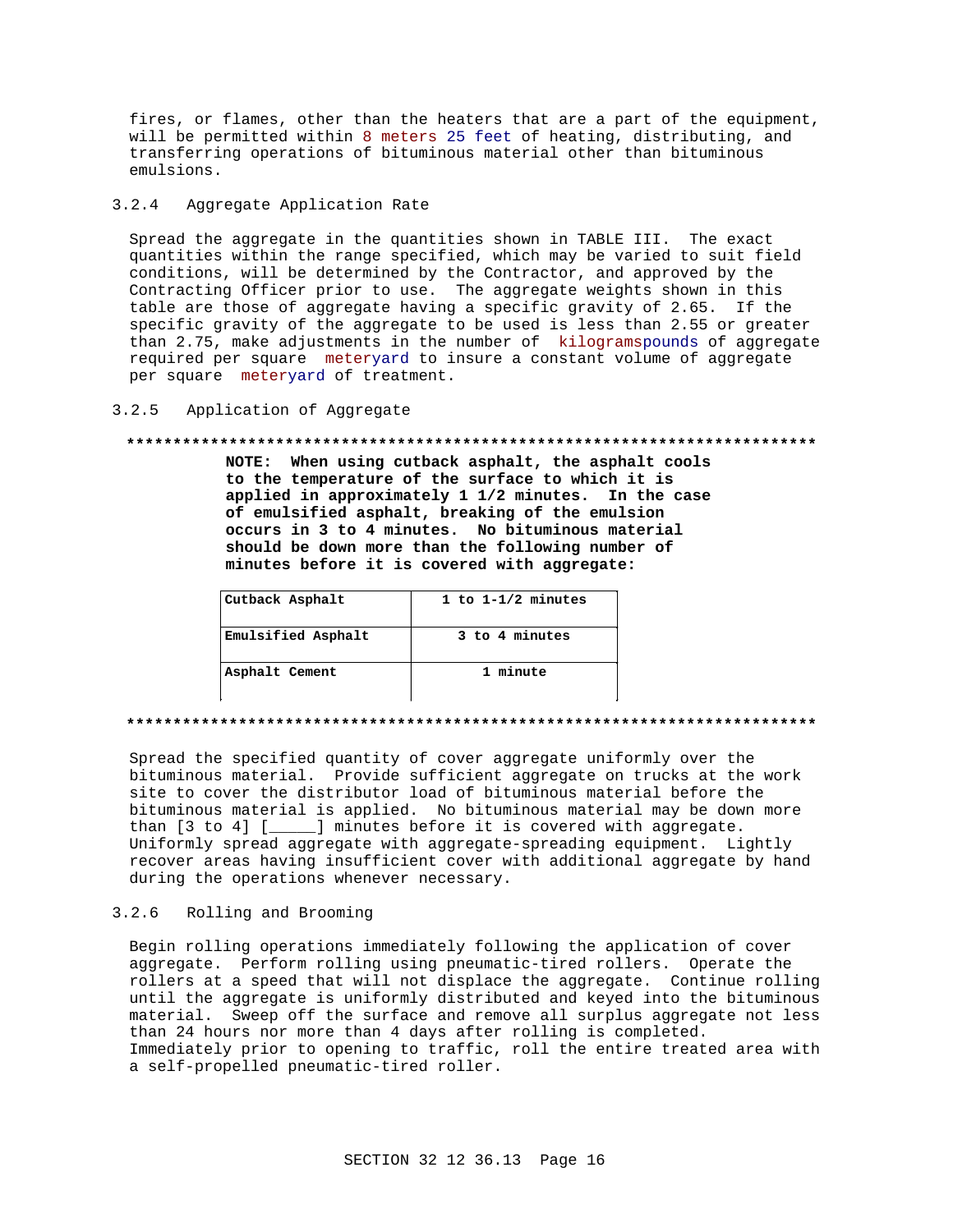fires, or flames, other than the heaters that are a part of the equipment, will be permitted within 8 meters 25 feet of heating, distributing, and transferring operations of bituminous material other than bituminous emulsions.

### $3.2.4$ Aggregate Application Rate

Spread the aggregate in the quantities shown in TABLE III. The exact quantities within the range specified, which may be varied to suit field conditions, will be determined by the Contractor, and approved by the Contracting Officer prior to use. The aggregate weights shown in this table are those of aggregate having a specific gravity of 2.65. If the specific gravity of the aggregate to be used is less than 2.55 or greater than 2.75, make adjustments in the number of kilogramspounds of aggregate required per square meteryard to insure a constant volume of aggregate per square meteryard of treatment.

### $3.2.5$ Application of Aggregate

## 

NOTE: When using cutback asphalt, the asphalt cools to the temperature of the surface to which it is applied in approximately 1 1/2 minutes. In the case of emulsified asphalt, breaking of the emulsion occurs in 3 to 4 minutes. No bituminous material should be down more than the following number of minutes before it is covered with aggregate:

| Cutback Asphalt    | 1 to $1 - 1/2$ minutes |
|--------------------|------------------------|
| Emulsified Asphalt | 3 to 4 minutes         |
| Asphalt Cement     | 1 minute               |

### 

Spread the specified quantity of cover aggregate uniformly over the bituminous material. Provide sufficient aggregate on trucks at the work site to cover the distributor load of bituminous material before the bituminous material is applied. No bituminous material may be down more than [3 to 4] [\_\_\_\_\_] minutes before it is covered with aggregate. Uniformly spread aggregate with aggregate-spreading equipment. Lightly recover areas having insufficient cover with additional aggregate by hand during the operations whenever necessary.

### $3.2.6$ Rolling and Brooming

Begin rolling operations immediately following the application of cover aggregate. Perform rolling using pneumatic-tired rollers. Operate the rollers at a speed that will not displace the aggregate. Continue rolling until the aggregate is uniformly distributed and keyed into the bituminous material. Sweep off the surface and remove all surplus aggregate not less than 24 hours nor more than 4 days after rolling is completed. Immediately prior to opening to traffic, roll the entire treated area with a self-propelled pneumatic-tired roller.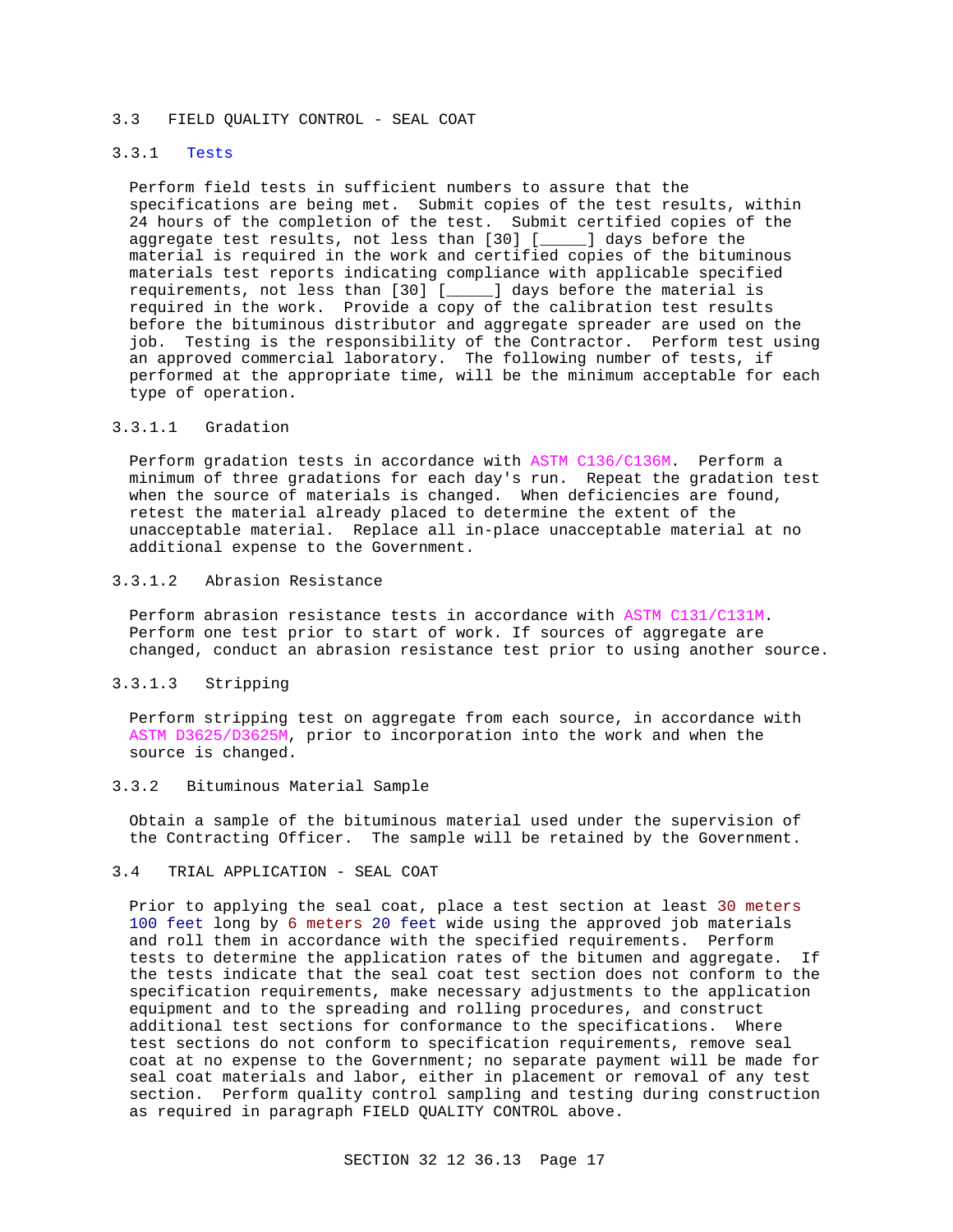## 3.3 FIELD QUALITY CONTROL - SEAL COAT

# 3.3.1 Tests

Perform field tests in sufficient numbers to assure that the specifications are being met. Submit copies of the test results, within 24 hours of the completion of the test. Submit certified copies of the aggregate test results, not less than [30] [\_\_\_\_\_] days before the material is required in the work and certified copies of the bituminous materials test reports indicating compliance with applicable specified requirements, not less than [30] [\_\_\_\_\_] days before the material is required in the work. Provide a copy of the calibration test results before the bituminous distributor and aggregate spreader are used on the job. Testing is the responsibility of the Contractor. Perform test using an approved commercial laboratory. The following number of tests, if performed at the appropriate time, will be the minimum acceptable for each type of operation.

## 3.3.1.1 Gradation

Perform gradation tests in accordance with ASTM C136/C136M. Perform a minimum of three gradations for each day's run. Repeat the gradation test when the source of materials is changed. When deficiencies are found, retest the material already placed to determine the extent of the unacceptable material. Replace all in-place unacceptable material at no additional expense to the Government.

# 3.3.1.2 Abrasion Resistance

Perform abrasion resistance tests in accordance with ASTM C131/C131M. Perform one test prior to start of work. If sources of aggregate are changed, conduct an abrasion resistance test prior to using another source.

# 3.3.1.3 Stripping

Perform stripping test on aggregate from each source, in accordance with ASTM D3625/D3625M, prior to incorporation into the work and when the source is changed.

## 3.3.2 Bituminous Material Sample

Obtain a sample of the bituminous material used under the supervision of the Contracting Officer. The sample will be retained by the Government.

## 3.4 TRIAL APPLICATION - SEAL COAT

Prior to applying the seal coat, place a test section at least 30 meters 100 feet long by 6 meters 20 feet wide using the approved job materials and roll them in accordance with the specified requirements. Perform tests to determine the application rates of the bitumen and aggregate. If the tests indicate that the seal coat test section does not conform to the specification requirements, make necessary adjustments to the application equipment and to the spreading and rolling procedures, and construct additional test sections for conformance to the specifications. Where test sections do not conform to specification requirements, remove seal coat at no expense to the Government; no separate payment will be made for seal coat materials and labor, either in placement or removal of any test section. Perform quality control sampling and testing during construction as required in paragraph FIELD QUALITY CONTROL above.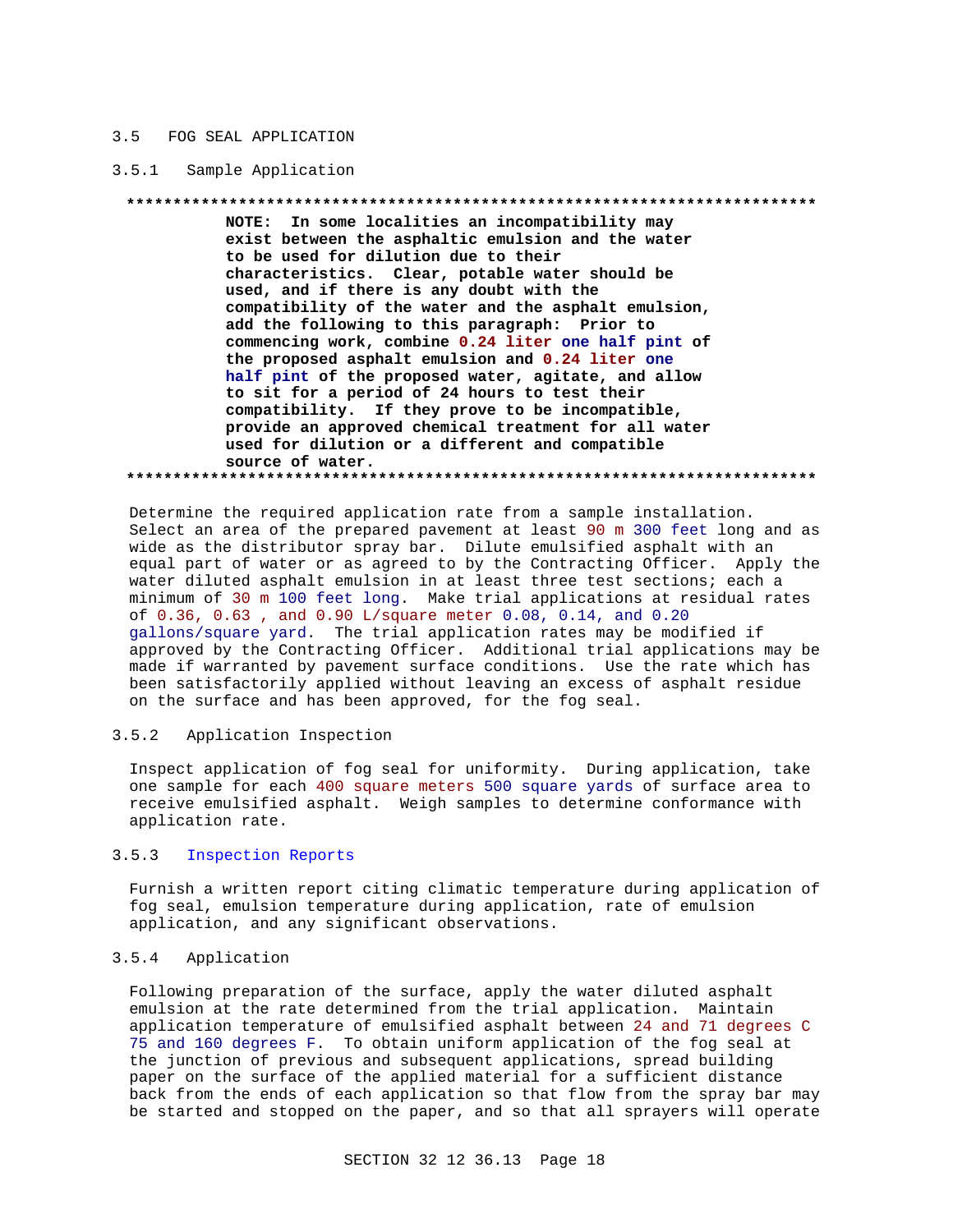### $3.5$ FOG SEAL APPLICATION

#### $3.5.1$ Sample Application

NOTE: In some localities an incompatibility may exist between the asphaltic emulsion and the water to be used for dilution due to their characteristics. Clear, potable water should be used, and if there is any doubt with the compatibility of the water and the asphalt emulsion, add the following to this paragraph: Prior to commencing work, combine 0.24 liter one half pint of the proposed asphalt emulsion and 0.24 liter one half pint of the proposed water, agitate, and allow to sit for a period of 24 hours to test their compatibility. If they prove to be incompatible, provide an approved chemical treatment for all water used for dilution or a different and compatible source of water. 

Determine the required application rate from a sample installation. Select an area of the prepared pavement at least 90 m 300 feet long and as wide as the distributor spray bar. Dilute emulsified asphalt with an equal part of water or as agreed to by the Contracting Officer. Apply the water diluted asphalt emulsion in at least three test sections; each a minimum of 30 m 100 feet long. Make trial applications at residual rates of 0.36, 0.63, and 0.90 L/square meter 0.08, 0.14, and 0.20 gallons/square yard. The trial application rates may be modified if approved by the Contracting Officer. Additional trial applications may be made if warranted by pavement surface conditions. Use the rate which has been satisfactorily applied without leaving an excess of asphalt residue on the surface and has been approved, for the fog seal.

### $3.5.2$ Application Inspection

Inspect application of fog seal for uniformity. During application, take one sample for each 400 square meters 500 square yards of surface area to receive emulsified asphalt. Weigh samples to determine conformance with application rate.

### $3.5.3$ Inspection Reports

Furnish a written report citing climatic temperature during application of fog seal, emulsion temperature during application, rate of emulsion application, and any significant observations.

### $3.5.4$ Application

Following preparation of the surface, apply the water diluted asphalt emulsion at the rate determined from the trial application. Maintain application temperature of emulsified asphalt between 24 and 71 degrees C 75 and 160 degrees F. To obtain uniform application of the fog seal at the junction of previous and subsequent applications, spread building paper on the surface of the applied material for a sufficient distance back from the ends of each application so that flow from the spray bar may be started and stopped on the paper, and so that all sprayers will operate